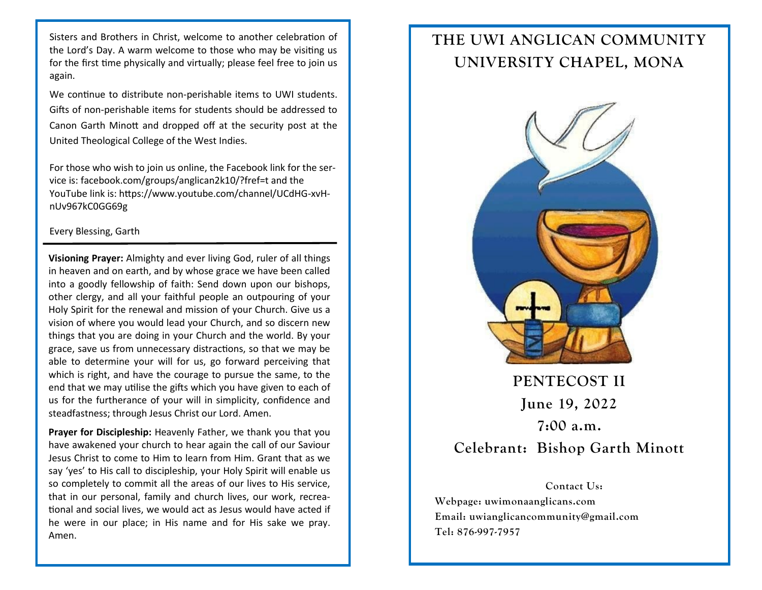Sisters and Brothers in Christ, welcome to another celebration of the Lord's Day. A warm welcome to those who may be visiting us for the first time physically and virtually; please feel free to join us again.

We continue to distribute non-perishable items to UWI students. Gifts of non-perishable items for students should be addressed to Canon Garth Minott and dropped off at the security post at the United Theological College of the West Indies.

For those who wish to join us online, the Facebook link for the service is: facebook.com/groups/anglican2k10/?fref=t and the YouTube link is: https://www.youtube.com/channel/UCdHG-xvHnUv967kC0GG69g

## Every Blessing, Garth

**Visioning Prayer:** Almighty and ever living God, ruler of all things in heaven and on earth, and by whose grace we have been called into a goodly fellowship of faith: Send down upon our bishops, other clergy, and all your faithful people an outpouring of your Holy Spirit for the renewal and mission of your Church. Give us a vision of where you would lead your Church, and so discern new things that you are doing in your Church and the world. By your grace, save us from unnecessary distractions, so that we may be able to determine your will for us, go forward perceiving that which is right, and have the courage to pursue the same, to the end that we may utilise the gifts which you have given to each of us for the furtherance of your will in simplicity, confidence and steadfastness; through Jesus Christ our Lord. Amen.

**Prayer for Discipleship:** Heavenly Father, we thank you that you have awakened your church to hear again the call of our Saviour Jesus Christ to come to Him to learn from Him. Grant that as we say 'yes' to His call to discipleship, your Holy Spirit will enable us so completely to commit all the areas of our lives to His service, that in our personal, family and church lives, our work, recreational and social lives, we would act as Jesus would have acted if he were in our place; in His name and for His sake we pray. Amen.

## **THE UWI ANGLICAN COMMUNITY UNIVERSITY CHAPEL, MONA**



**PENTECOST II June 19, 2022 7:00 a.m. Celebrant: Bishop Garth Minott**

**Contact Us: Webpage: uwimonaanglicans.com Email: uwianglicancommunity@gmail.com Tel: 876-997-7957**